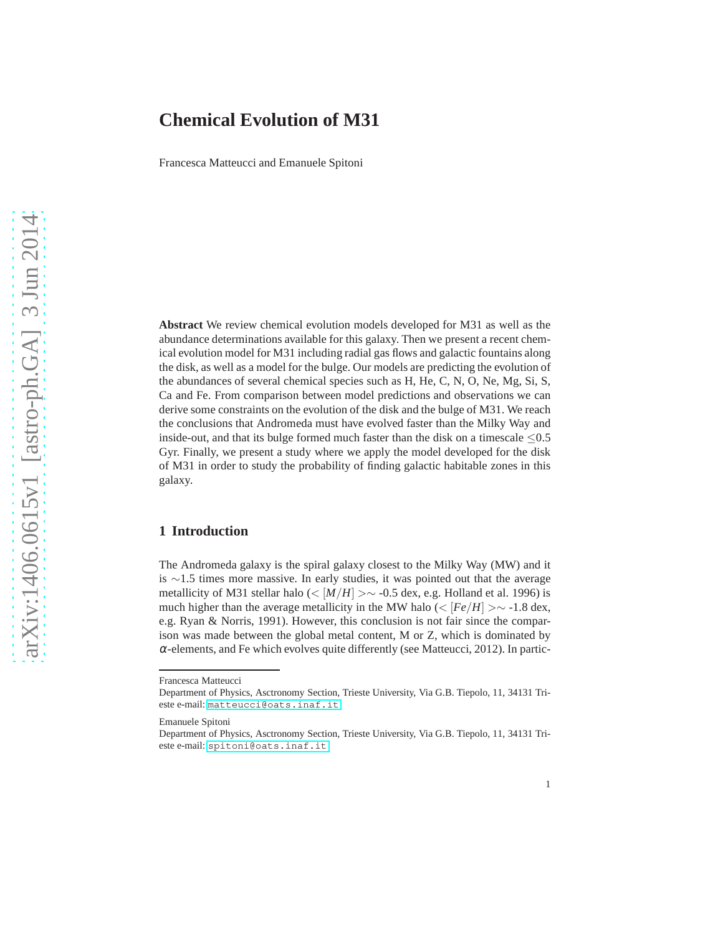# **Chemical Evolution of M31**

Francesca Matteucci and Emanuele Spitoni

**Abstract** We review chemical evolution models developed for M31 as well as the abundance determinations available for this galaxy. Then we present a recent chemical evolution model for M31 including radial gas flows and galactic fountains along the disk, as well as a model for the bulge. Our models are predicting the evolution of the abundances of several chemical species such as H, He, C, N, O, Ne, Mg, Si, S, Ca and Fe. From comparison between model predictions and observations we can derive some constraints on the evolution of the disk and the bulge of M31. We reach the conclusions that Andromeda must have evolved faster than the Milky Way and inside-out, and that its bulge formed much faster than the disk on a timescale  $\leq 0.5$ Gyr. Finally, we present a study where we apply the model developed for the disk of M31 in order to study the probability of finding galactic habitable zones in this galaxy.

## **1 Introduction**

The Andromeda galaxy is the spiral galaxy closest to the Milky Way (MW) and it is ∼1.5 times more massive. In early studies, it was pointed out that the average metallicity of M31 stellar halo (<  $[M/H] > \sim -0.5$  dex, e.g. Holland et al. 1996) is much higher than the average metallicity in the MW halo ( $\lt [Fe/H] > \sim 1.8$  dex, e.g. Ryan & Norris, 1991). However, this conclusion is not fair since the comparison was made between the global metal content, M or Z, which is dominated by  $\alpha$ -elements, and Fe which evolves quite differently (see Matteucci, 2012). In partic-

Francesca Matteucci

Department of Physics, Asctronomy Section, Trieste University, Via G.B. Tiepolo, 11, 34131 Trieste e-mail: <matteucci@oats.inaf.it>

Emanuele Spitoni

Department of Physics, Asctronomy Section, Trieste University, Via G.B. Tiepolo, 11, 34131 Trieste e-mail: <spitoni@oats.inaf.it>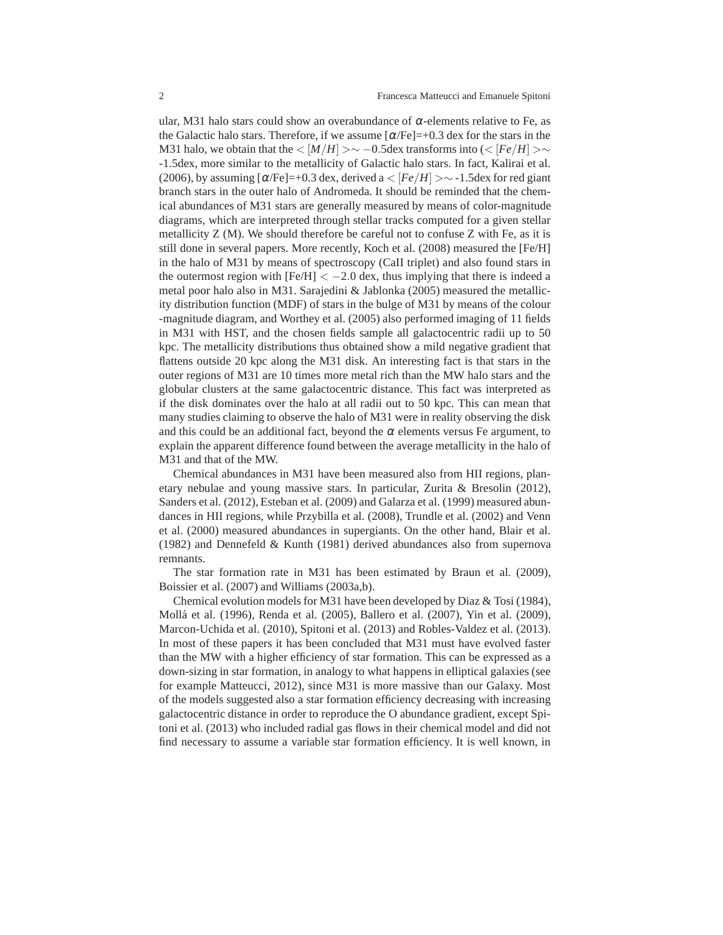ular, M31 halo stars could show an overabundance of  $\alpha$ -elements relative to Fe, as the Galactic halo stars. Therefore, if we assume  $[\alpha/\text{Fe}] = +0.3$  dex for the stars in the M31 halo, we obtain that the  $\langle M/H \rangle > \sim -0.5$ dex transforms into  $\langle \langle [Fe/H] \rangle > \sim$ -1.5dex, more similar to the metallicity of Galactic halo stars. In fact, Kalirai et al. (2006), by assuming  $\lceil \alpha/\text{Fe} \rceil = +0.3$  dex, derived a  $\lt$   $\lceil \text{Fe/H} \rceil \gt \sim -1.5$  dex for red giant branch stars in the outer halo of Andromeda. It should be reminded that the chemical abundances of M31 stars are generally measured by means of color-magnitude diagrams, which are interpreted through stellar tracks computed for a given stellar metallicity Z (M). We should therefore be careful not to confuse Z with Fe, as it is still done in several papers. More recently, Koch et al. (2008) measured the [Fe/H] in the halo of M31 by means of spectroscopy (CaII triplet) and also found stars in the outermost region with  $[Fe/H] < -2.0$  dex, thus implying that there is indeed a metal poor halo also in M31. Sarajedini & Jablonka (2005) measured the metallicity distribution function (MDF) of stars in the bulge of M31 by means of the colour -magnitude diagram, and Worthey et al. (2005) also performed imaging of 11 fields in M31 with HST, and the chosen fields sample all galactocentric radii up to 50 kpc. The metallicity distributions thus obtained show a mild negative gradient that flattens outside 20 kpc along the M31 disk. An interesting fact is that stars in the outer regions of M31 are 10 times more metal rich than the MW halo stars and the globular clusters at the same galactocentric distance. This fact was interpreted as if the disk dominates over the halo at all radii out to 50 kpc. This can mean that many studies claiming to observe the halo of M31 were in reality observing the disk and this could be an additional fact, beyond the  $\alpha$  elements versus Fe argument, to explain the apparent difference found between the average metallicity in the halo of M31 and that of the MW.

Chemical abundances in M31 have been measured also from HII regions, planetary nebulae and young massive stars. In particular, Zurita & Bresolin (2012), Sanders et al. (2012), Esteban et al. (2009) and Galarza et al. (1999) measured abundances in HII regions, while Przybilla et al. (2008), Trundle et al. (2002) and Venn et al. (2000) measured abundances in supergiants. On the other hand, Blair et al. (1982) and Dennefeld & Kunth (1981) derived abundances also from supernova remnants.

The star formation rate in M31 has been estimated by Braun et al. (2009), Boissier et al. (2007) and Williams (2003a,b).

Chemical evolution models for M31 have been developed by Diaz & Tosi (1984), Moll´a et al. (1996), Renda et al. (2005), Ballero et al. (2007), Yin et al. (2009), Marcon-Uchida et al. (2010), Spitoni et al. (2013) and Robles-Valdez et al. (2013). In most of these papers it has been concluded that M31 must have evolved faster than the MW with a higher efficiency of star formation. This can be expressed as a down-sizing in star formation, in analogy to what happens in elliptical galaxies (see for example Matteucci, 2012), since M31 is more massive than our Galaxy. Most of the models suggested also a star formation efficiency decreasing with increasing galactocentric distance in order to reproduce the O abundance gradient, except Spitoni et al. (2013) who included radial gas flows in their chemical model and did not find necessary to assume a variable star formation efficiency. It is well known, in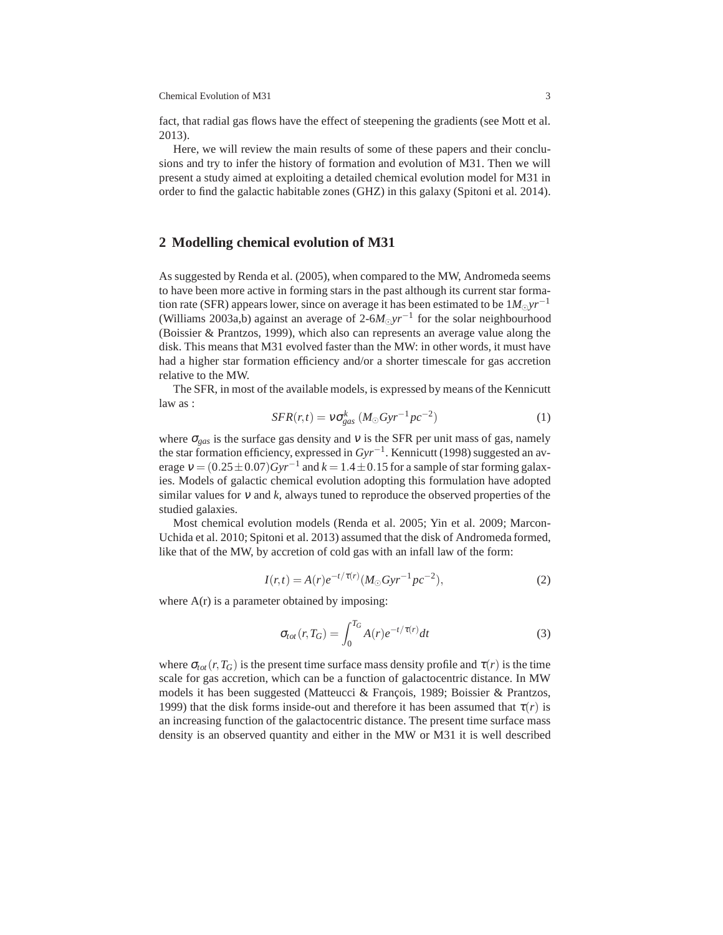Chemical Evolution of M31 3

fact, that radial gas flows have the effect of steepening the gradients (see Mott et al. 2013).

Here, we will review the main results of some of these papers and their conclusions and try to infer the history of formation and evolution of M31. Then we will present a study aimed at exploiting a detailed chemical evolution model for M31 in order to find the galactic habitable zones (GHZ) in this galaxy (Spitoni et al. 2014).

#### **2 Modelling chemical evolution of M31**

As suggested by Renda et al. (2005), when compared to the MW, Andromeda seems to have been more active in forming stars in the past although its current star formation rate (SFR) appears lower, since on average it has been estimated to be  $1M_{\odot}yr^{-1}$ (Williams 2003a,b) against an average of 2-6*M*⊙*yr*−<sup>1</sup> for the solar neighbourhood (Boissier & Prantzos, 1999), which also can represents an average value along the disk. This means that M31 evolved faster than the MW: in other words, it must have had a higher star formation efficiency and/or a shorter timescale for gas accretion relative to the MW.

The SFR, in most of the available models, is expressed by means of the Kennicutt law as :

$$
SFR(r,t) = v\sigma_{gas}^{k} \left( M_{\odot}Gyr^{-1}pc^{-2} \right)
$$
 (1)

where  $\sigma_{\text{gas}}$  is the surface gas density and v is the SFR per unit mass of gas, namely the star formation efficiency, expressed in *Gyr*−<sup>1</sup> . Kennicutt (1998) suggested an average  $v = (0.25 \pm 0.07)Gyr^{-1}$  and  $k = 1.4 \pm 0.15$  for a sample of star forming galaxies. Models of galactic chemical evolution adopting this formulation have adopted similar values for <sup>ν</sup> and *k*, always tuned to reproduce the observed properties of the studied galaxies.

Most chemical evolution models (Renda et al. 2005; Yin et al. 2009; Marcon-Uchida et al. 2010; Spitoni et al. 2013) assumed that the disk of Andromeda formed, like that of the MW, by accretion of cold gas with an infall law of the form:

$$
I(r,t) = A(r)e^{-t/\tau(r)}(M_{\odot}Gyr^{-1}pc^{-2}),
$$
\n(2)

where  $A(r)$  is a parameter obtained by imposing:

$$
\sigma_{tot}(r, T_G) = \int_0^{T_G} A(r)e^{-t/\tau(r)}dt
$$
\n(3)

where  $\sigma_{tot}(r, T_G)$  is the present time surface mass density profile and  $\tau(r)$  is the time scale for gas accretion, which can be a function of galactocentric distance. In MW models it has been suggested (Matteucci & François, 1989; Boissier & Prantzos, 1999) that the disk forms inside-out and therefore it has been assumed that  $\tau(r)$  is an increasing function of the galactocentric distance. The present time surface mass density is an observed quantity and either in the MW or M31 it is well described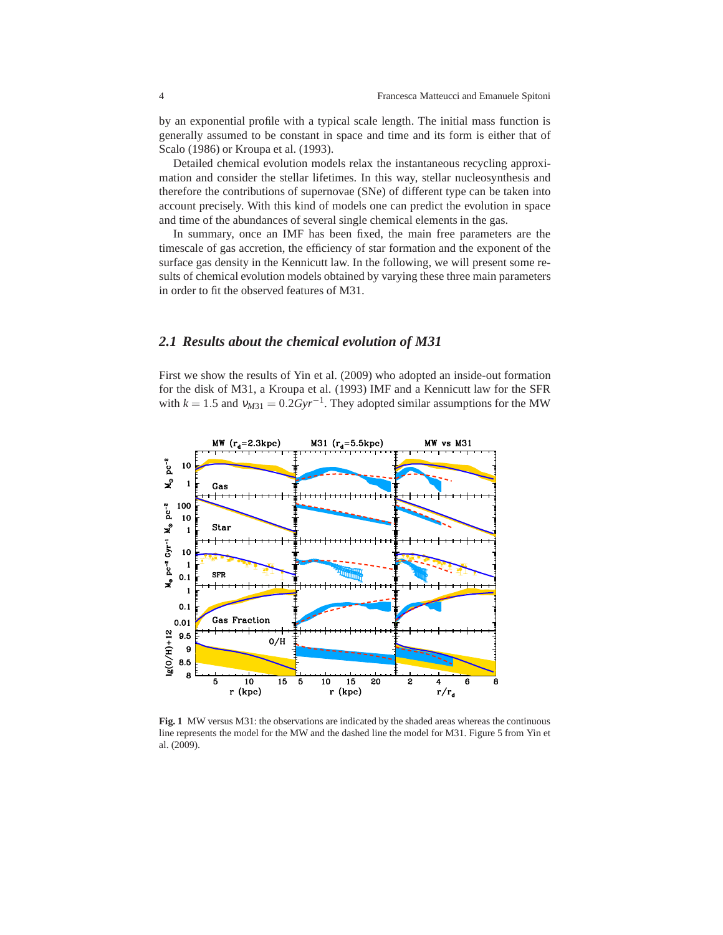by an exponential profile with a typical scale length. The initial mass function is generally assumed to be constant in space and time and its form is either that of Scalo (1986) or Kroupa et al. (1993).

Detailed chemical evolution models relax the instantaneous recycling approximation and consider the stellar lifetimes. In this way, stellar nucleosynthesis and therefore the contributions of supernovae (SNe) of different type can be taken into account precisely. With this kind of models one can predict the evolution in space and time of the abundances of several single chemical elements in the gas.

In summary, once an IMF has been fixed, the main free parameters are the timescale of gas accretion, the efficiency of star formation and the exponent of the surface gas density in the Kennicutt law. In the following, we will present some results of chemical evolution models obtained by varying these three main parameters in order to fit the observed features of M31.

### *2.1 Results about the chemical evolution of M31*

First we show the results of Yin et al. (2009) who adopted an inside-out formation for the disk of M31, a Kroupa et al. (1993) IMF and a Kennicutt law for the SFR with  $k = 1.5$  and  $v_{M31} = 0.2Gyr^{-1}$ . They adopted similar assumptions for the MW



Fig. 1 MW versus M31: the observations are indicated by the shaded areas whereas the continuous line represents the model for the MW and the dashed line the model for M31. Figure 5 from Yin et al. (2009).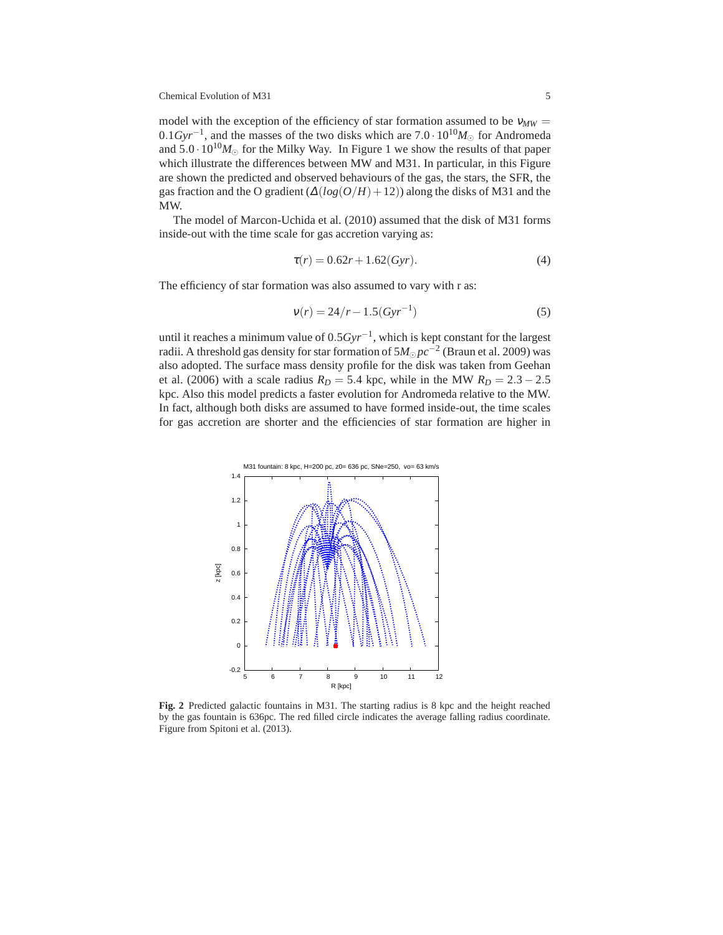Chemical Evolution of M31 5

model with the exception of the efficiency of star formation assumed to be  $v_{MW}$ 0.1*Gyr*<sup>−1</sup>, and the masses of the two disks which are 7.0 · 10<sup>10</sup>*M*<sub>☉</sub> for Andromeda and  $5.0 \cdot 10^{10} M_{\odot}$  for the Milky Way. In Figure 1 we show the results of that paper which illustrate the differences between MW and M31. In particular, in this Figure are shown the predicted and observed behaviours of the gas, the stars, the SFR, the gas fraction and the O gradient  $(\Delta(log(O/H)+12))$  along the disks of M31 and the MW.

The model of Marcon-Uchida et al. (2010) assumed that the disk of M31 forms inside-out with the time scale for gas accretion varying as:

$$
\tau(r) = 0.62r + 1.62(Gyr). \tag{4}
$$

The efficiency of star formation was also assumed to vary with r as:

$$
v(r) = 24/r - 1.5(Gyr^{-1})
$$
\n(5)

until it reaches a minimum value of 0.5*Gyr*−<sup>1</sup> , which is kept constant for the largest radii. A threshold gas density for star formation of 5*M*<sup>⊙</sup> *pc*−<sup>2</sup> (Braun et al. 2009) was also adopted. The surface mass density profile for the disk was taken from Geehan et al. (2006) with a scale radius  $R_D = 5.4$  kpc, while in the MW  $R_D = 2.3 - 2.5$ kpc. Also this model predicts a faster evolution for Andromeda relative to the MW. In fact, although both disks are assumed to have formed inside-out, the time scales for gas accretion are shorter and the efficiencies of star formation are higher in



**Fig. 2** Predicted galactic fountains in M31. The starting radius is 8 kpc and the height reached by the gas fountain is 636pc. The red filled circle indicates the average falling radius coordinate. Figure from Spitoni et al. (2013).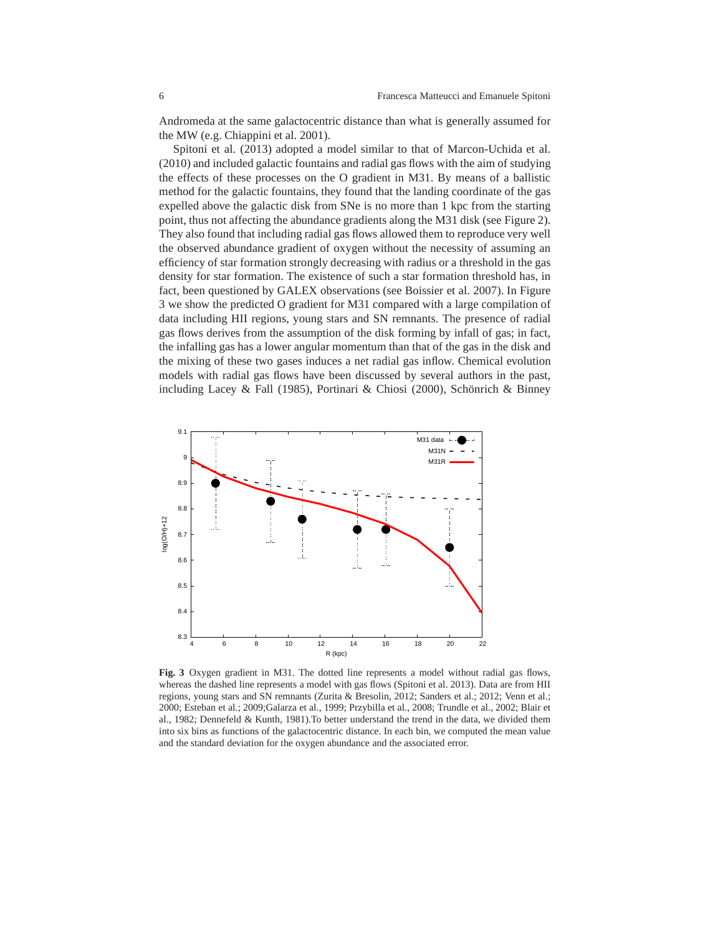Andromeda at the same galactocentric distance than what is generally assumed for the MW (e.g. Chiappini et al. 2001).

Spitoni et al. (2013) adopted a model similar to that of Marcon-Uchida et al. (2010) and included galactic fountains and radial gas flows with the aim of studying the effects of these processes on the O gradient in M31. By means of a ballistic method for the galactic fountains, they found that the landing coordinate of the gas expelled above the galactic disk from SNe is no more than 1 kpc from the starting point, thus not affecting the abundance gradients along the M31 disk (see Figure 2). They also found that including radial gas flows allowed them to reproduce very well the observed abundance gradient of oxygen without the necessity of assuming an efficiency of star formation strongly decreasing with radius or a threshold in the gas density for star formation. The existence of such a star formation threshold has, in fact, been questioned by GALEX observations (see Boissier et al. 2007). In Figure 3 we show the predicted O gradient for M31 compared with a large compilation of data including HII regions, young stars and SN remnants. The presence of radial gas flows derives from the assumption of the disk forming by infall of gas; in fact, the infalling gas has a lower angular momentum than that of the gas in the disk and the mixing of these two gases induces a net radial gas inflow. Chemical evolution models with radial gas flows have been discussed by several authors in the past, including Lacey & Fall (1985), Portinari & Chiosi (2000), Schönrich & Binney



**Fig. 3** Oxygen gradient in M31. The dotted line represents a model without radial gas flows, whereas the dashed line represents a model with gas flows (Spitoni et al. 2013). Data are from HII regions, young stars and SN remnants (Zurita & Bresolin, 2012; Sanders et al.; 2012; Venn et al.; 2000; Esteban et al.; 2009;Galarza et al., 1999; Przybilla et al., 2008; Trundle et al., 2002; Blair et al., 1982; Dennefeld & Kunth, 1981).To better understand the trend in the data, we divided them into six bins as functions of the galactocentric distance. In each bin, we computed the mean value and the standard deviation for the oxygen abundance and the associated error.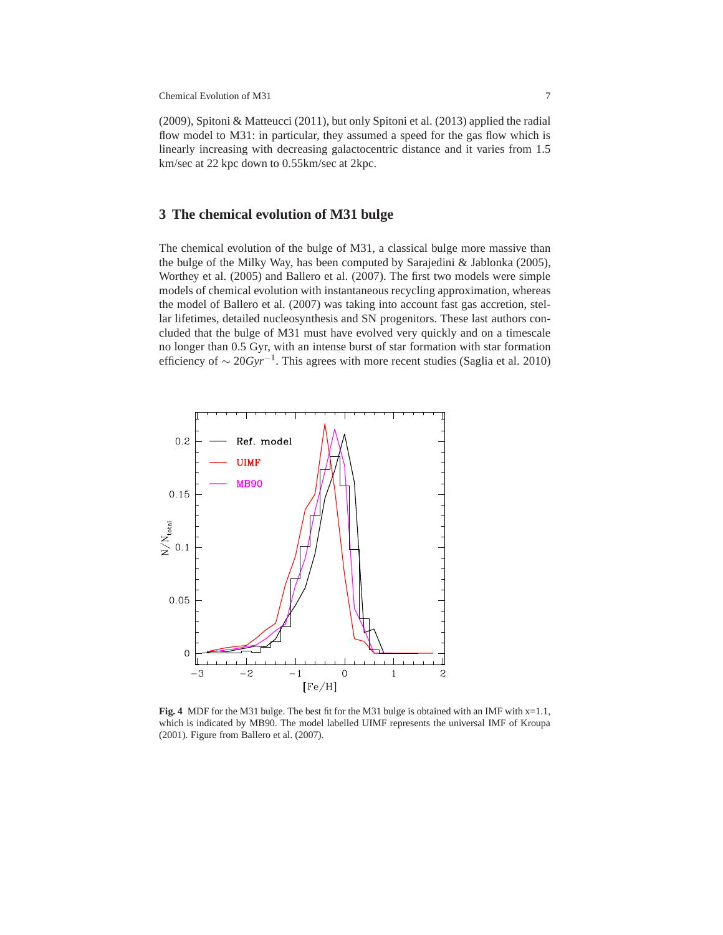Chemical Evolution of M31 7

(2009), Spitoni & Matteucci (2011), but only Spitoni et al. (2013) applied the radial flow model to M31: in particular, they assumed a speed for the gas flow which is linearly increasing with decreasing galactocentric distance and it varies from 1.5 km/sec at 22 kpc down to 0.55km/sec at 2kpc.

# **3 The chemical evolution of M31 bulge**

The chemical evolution of the bulge of M31, a classical bulge more massive than the bulge of the Milky Way, has been computed by Sarajedini & Jablonka (2005), Worthey et al. (2005) and Ballero et al. (2007). The first two models were simple models of chemical evolution with instantaneous recycling approximation, whereas the model of Ballero et al. (2007) was taking into account fast gas accretion, stellar lifetimes, detailed nucleosynthesis and SN progenitors. These last authors concluded that the bulge of M31 must have evolved very quickly and on a timescale no longer than 0.5 Gyr, with an intense burst of star formation with star formation efficiency of ∼ 20*Gyr*−<sup>1</sup> . This agrees with more recent studies (Saglia et al. 2010)



**Fig. 4** MDF for the M31 bulge. The best fit for the M31 bulge is obtained with an IMF with  $x=1.1$ , which is indicated by MB90. The model labelled UIMF represents the universal IMF of Kroupa (2001). Figure from Ballero et al. (2007).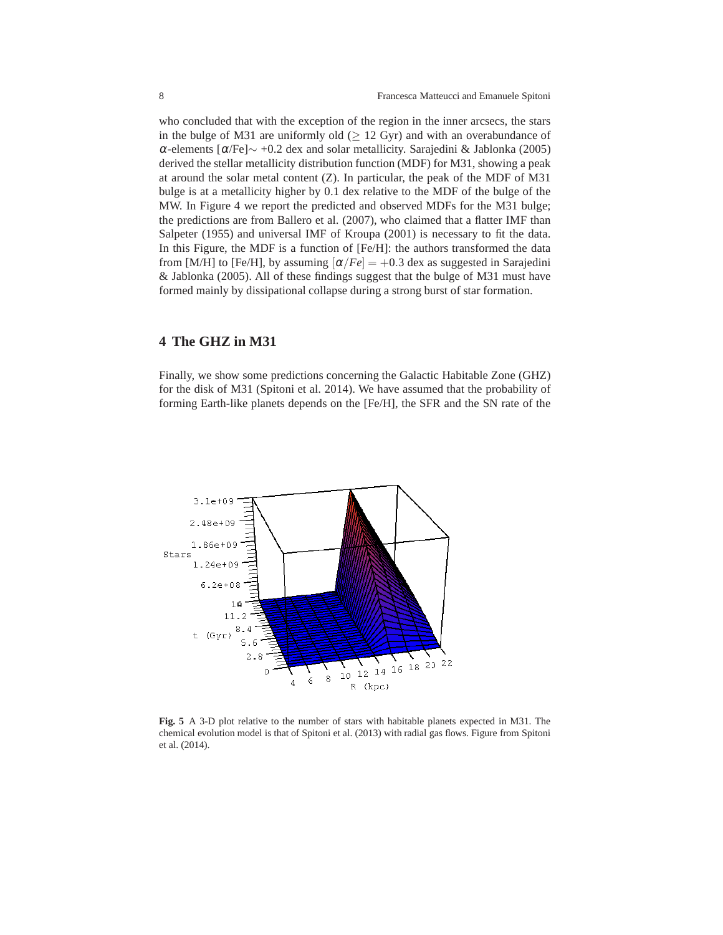who concluded that with the exception of the region in the inner arcsecs, the stars in the bulge of M31 are uniformly old  $(≥ 12 Gyr)$  and with an overabundance of <sup>α</sup>-elements [α/Fe]∼ +0.2 dex and solar metallicity. Sarajedini & Jablonka (2005) derived the stellar metallicity distribution function (MDF) for M31, showing a peak at around the solar metal content  $(Z)$ . In particular, the peak of the MDF of M31 bulge is at a metallicity higher by 0.1 dex relative to the MDF of the bulge of the MW. In Figure 4 we report the predicted and observed MDFs for the M31 bulge; the predictions are from Ballero et al. (2007), who claimed that a flatter IMF than Salpeter (1955) and universal IMF of Kroupa (2001) is necessary to fit the data. In this Figure, the MDF is a function of [Fe/H]: the authors transformed the data from [M/H] to [Fe/H], by assuming  $\left[\alpha/Fe\right] = +0.3$  dex as suggested in Sarajedini & Jablonka (2005). All of these findings suggest that the bulge of M31 must have formed mainly by dissipational collapse during a strong burst of star formation.

# **4 The GHZ in M31**

Finally, we show some predictions concerning the Galactic Habitable Zone (GHZ) for the disk of M31 (Spitoni et al. 2014). We have assumed that the probability of forming Earth-like planets depends on the [Fe/H], the SFR and the SN rate of the



**Fig. 5** A 3-D plot relative to the number of stars with habitable planets expected in M31. The chemical evolution model is that of Spitoni et al. (2013) with radial gas flows. Figure from Spitoni et al. (2014).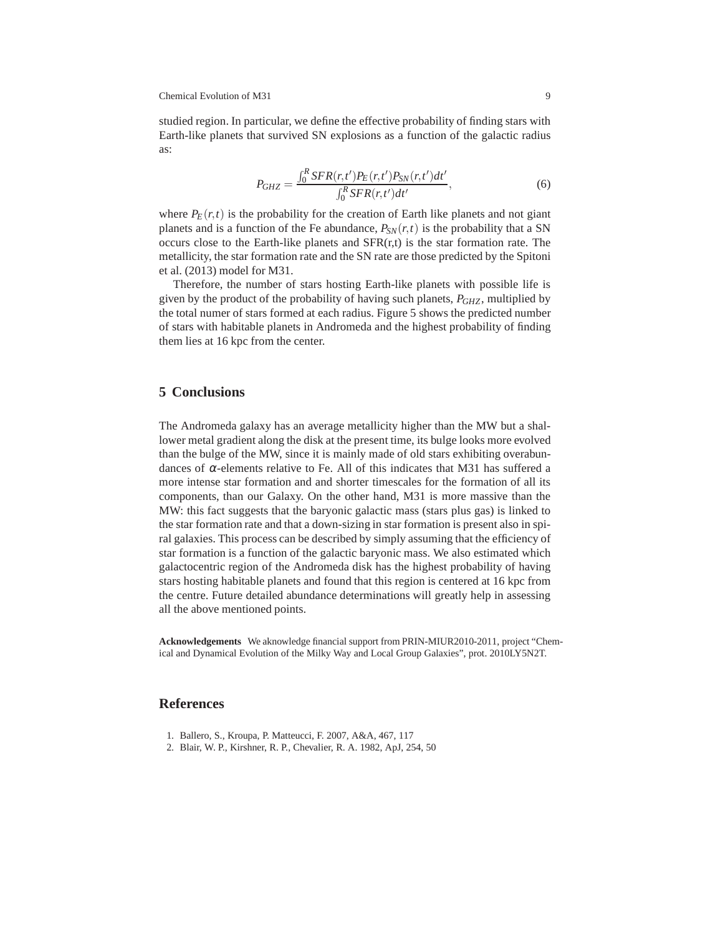studied region. In particular, we define the effective probability of finding stars with Earth-like planets that survived SN explosions as a function of the galactic radius as:

$$
P_{GHZ} = \frac{\int_0^R SFR(r,t')P_E(r,t')P_{SN}(r,t')dt'}{\int_0^R SFR(r,t')dt'},
$$
\n(6)

where  $P_E(r,t)$  is the probability for the creation of Earth like planets and not giant planets and is a function of the Fe abundance,  $P_{SN}(r,t)$  is the probability that a SN occurs close to the Earth-like planets and  $SFR(r,t)$  is the star formation rate. The metallicity, the star formation rate and the SN rate are those predicted by the Spitoni et al. (2013) model for M31.

Therefore, the number of stars hosting Earth-like planets with possible life is given by the product of the probability of having such planets, *PGHZ*, multiplied by the total numer of stars formed at each radius. Figure 5 shows the predicted number of stars with habitable planets in Andromeda and the highest probability of finding them lies at 16 kpc from the center.

## **5 Conclusions**

The Andromeda galaxy has an average metallicity higher than the MW but a shallower metal gradient along the disk at the present time, its bulge looks more evolved than the bulge of the MW, since it is mainly made of old stars exhibiting overabundances of  $\alpha$ -elements relative to Fe. All of this indicates that M31 has suffered a more intense star formation and and shorter timescales for the formation of all its components, than our Galaxy. On the other hand, M31 is more massive than the MW: this fact suggests that the baryonic galactic mass (stars plus gas) is linked to the star formation rate and that a down-sizing in star formation is present also in spiral galaxies. This process can be described by simply assuming that the efficiency of star formation is a function of the galactic baryonic mass. We also estimated which galactocentric region of the Andromeda disk has the highest probability of having stars hosting habitable planets and found that this region is centered at 16 kpc from the centre. Future detailed abundance determinations will greatly help in assessing all the above mentioned points.

**Acknowledgements** We aknowledge financial support from PRIN-MIUR2010-2011, project "Chemical and Dynamical Evolution of the Milky Way and Local Group Galaxies", prot. 2010LY5N2T.

### **References**

- 1. Ballero, S., Kroupa, P. Matteucci, F. 2007, A&A, 467, 117
- 2. Blair, W. P., Kirshner, R. P., Chevalier, R. A. 1982, ApJ, 254, 50